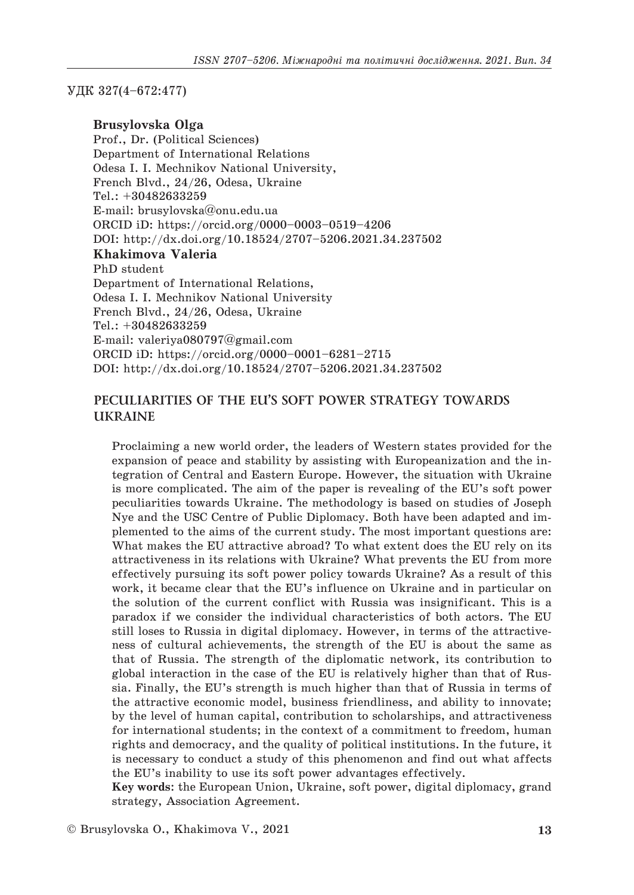## УДК 327(4–672:477)

### **Brusylovska Olga**

Prof., Dr. (Political Sciences) Department of International Relations Odesa I. I. Mechnikov National University, French Blvd., 24/26, Odesa, Ukraine Tel.: +30482633259 E-mail: brusylovska@onu.edu.ua ORCID iD: https://orcid.org/0000–0003–0519–4206 DOI: http://dx.doi.org/10.18524/2707–5206.2021.34.237502 **Khakimova Valeria**  PhD student Department of International Relations, Odesa I. I. Mechnikov National University French Blvd., 24/26, Odesa, Ukraine Tel.: +30482633259 E-mail: valeriya080797@gmail.com ORCID iD: https://orcid.org/0000–0001–6281–2715 DOI: http://dx.doi.org/10.18524/2707–5206.2021.34.237502

# **PECULIARITIES OF THE EU'S SOFT POWER STRATEGY TOWARDS UKRAINE**

Proclaiming a new world order, the leaders of Western states provided for the expansion of peace and stability by assisting with Europeanization and the integration of Central and Eastern Europe. However, the situation with Ukraine is more complicated. The aim of the paper is revealing of the EU's soft power peculiarities towards Ukraine. The methodology is based on studies of Joseph Nye and the USC Centre of Public Diplomacy. Both have been adapted and implemented to the aims of the current study. The most important questions are: What makes the EU attractive abroad? To what extent does the EU rely on its attractiveness in its relations with Ukraine? What prevents the EU from more effectively pursuing its soft power policy towards Ukraine? As a result of this work, it became clear that the EU's influence on Ukraine and in particular on the solution of the current conflict with Russia was insignificant. This is a paradox if we consider the individual characteristics of both actors. The EU still loses to Russia in digital diplomacy. However, in terms of the attractiveness of cultural achievements, the strength of the EU is about the same as that of Russia. The strength of the diplomatic network, its contribution to global interaction in the case of the EU is relatively higher than that of Russia. Finally, the EU's strength is much higher than that of Russia in terms of the attractive economic model, business friendliness, and ability to innovate; by the level of human capital, contribution to scholarships, and attractiveness for international students; in the context of a commitment to freedom, human rights and democracy, and the quality of political institutions. In the future, it is necessary to conduct a study of this phenomenon and find out what affects the EU's inability to use its soft power advantages effectively.

**Key words**: the European Union, Ukraine, soft power, digital diplomacy, grand strategy, Association Agreement.

© Brusylovska O., Khakimova V., 2021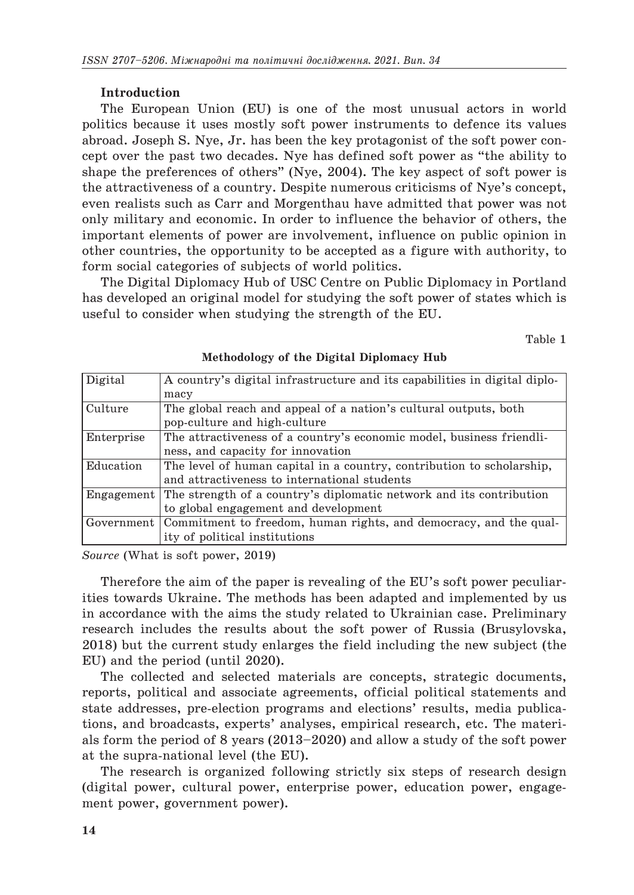## **Introduction**

The European Union (EU) is one of the most unusual actors in world politics because it uses mostly soft power instruments to defence its values abroad. Joseph S. Nye, Jr. has been the key protagonist of the soft power concept over the past two decades. Nye has defined soft power as "the ability to shape the preferences of others" (Nye, 2004). The key aspect of soft power is the attractiveness of a country. Despite numerous criticisms of Nye's concept, even realists such as Carr and Morgenthau have admitted that power was not only military and economic. In order to influence the behavior of others, the important elements of power are involvement, influence on public opinion in other countries, the opportunity to be accepted as a figure with authority, to form social categories of subjects of world politics.

The Digital Diplomacy Hub of USC Centre on Public Diplomacy in Portland has developed an original model for studying the soft power of states which is useful to consider when studying the strength of the EU.

Table 1

| Digital    | A country's digital infrastructure and its capabilities in digital diplo- |
|------------|---------------------------------------------------------------------------|
|            | macy                                                                      |
| Culture    | The global reach and appeal of a nation's cultural outputs, both          |
|            | pop-culture and high-culture                                              |
| Enterprise | The attractiveness of a country's economic model, business friendli-      |
|            | ness, and capacity for innovation                                         |
| Education  | The level of human capital in a country, contribution to scholarship,     |
|            | and attractiveness to international students                              |
| Engagement | The strength of a country's diplomatic network and its contribution       |
|            | to global engagement and development                                      |
| Government | Commitment to freedom, human rights, and democracy, and the qual-         |
|            | ity of political institutions                                             |
|            |                                                                           |

# **Methodology of the Digital Diplomacy Hub**

*Source* (What is soft power, 2019)

Therefore the aim of the paper is revealing of the EU's soft power peculiarities towards Ukraine. The methods has been adapted and implemented by us in accordance with the aims the study related to Ukrainian case. Preliminary research includes the results about the soft power of Russia (Brusylovska, 2018) but the current study enlarges the field including the new subject (the EU) and the period (until 2020).

The collected and selected materials are concepts, strategic documents, reports, political and associate agreements, official political statements and state addresses, pre-election programs and elections' results, media publications, and broadcasts, experts' analyses, empirical research, etc. The materials form the period of 8 years (2013–2020) and allow a study of the soft power at the supra-national level (the EU).

The research is organized following strictly six steps of research design (digital power, cultural power, enterprise power, education power, engagement power, government power).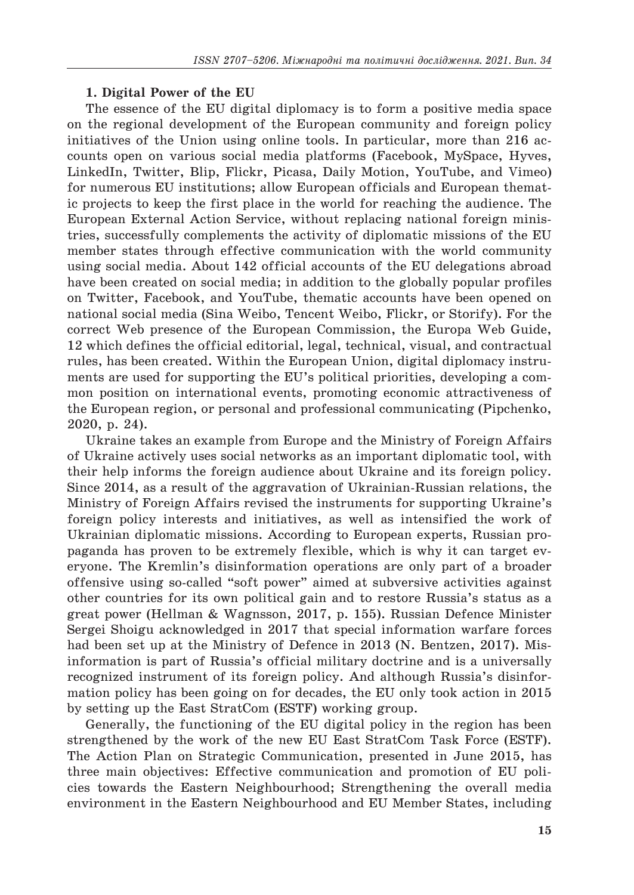### **1. Digital Power of the EU**

The essence of the EU digital diplomacy is to form a positive media space on the regional development of the European community and foreign policy initiatives of the Union using online tools. In particular, more than 216 accounts open on various social media platforms (Facebook, MySpace, Hyves, LinkedIn, Twitter, Blip, Flickr, Picasa, Daily Motion, YouTube, and Vimeo) for numerous EU institutions; allow European officials and European thematic projects to keep the first place in the world for reaching the audience. The European External Action Service, without replacing national foreign ministries, successfully complements the activity of diplomatic missions of the EU member states through effective communication with the world community using social media. About 142 official accounts of the EU delegations abroad have been created on social media; in addition to the globally popular profiles on Twitter, Facebook, and YouTube, thematic accounts have been opened on national social media (Sina Weibo, Tencent Weibo, Flickr, or Storify). For the correct Web presence of the European Commission, the Europa Web Guide, 12 which defines the official editorial, legal, technical, visual, and contractual rules, has been created. Within the European Union, digital diplomacy instruments are used for supporting the EU's political priorities, developing a common position on international events, promoting economic attractiveness of the European region, or personal and professional communicating (Pipchenko, 2020, p. 24).

Ukraine takes an example from Europe and the Ministry of Foreign Affairs of Ukraine actively uses social networks as an important diplomatic tool, with their help informs the foreign audience about Ukraine and its foreign policy. Since 2014, as a result of the aggravation of Ukrainian-Russian relations, the Ministry of Foreign Affairs revised the instruments for supporting Ukraine's foreign policy interests and initiatives, as well as intensified the work of Ukrainian diplomatic missions. According to European experts, Russian propaganda has proven to be extremely flexible, which is why it can target everyone. The Kremlin's disinformation operations are only part of a broader offensive using so-called "soft power" aimed at subversive activities against other countries for its own political gain and to restore Russia's status as a great power (Hellman & Wagnsson, 2017, p. 155). Russian Defence Minister Sergei Shoigu acknowledged in 2017 that special information warfare forces had been set up at the Ministry of Defence in 2013 (N. Bentzen, 2017). Misinformation is part of Russia's official military doctrine and is a universally recognized instrument of its foreign policy. And although Russia's disinformation policy has been going on for decades, the EU only took action in 2015 by setting up the East StratCom (ESTF) working group.

Generally, the functioning of the EU digital policy in the region has been strengthened by the work of the new EU East StratCom Task Force (ESTF). The Action Plan on Strategic Communication, presented in June 2015, has three main objectives: Effective communication and promotion of EU policies towards the Eastern Neighbourhood; Strengthening the overall media environment in the Eastern Neighbourhood and EU Member States, including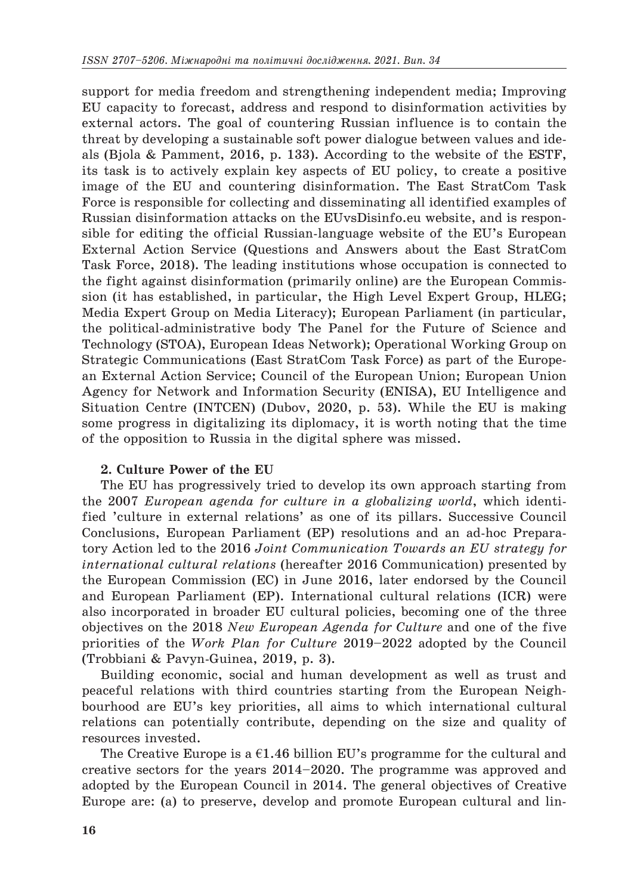support for media freedom and strengthening independent media; Improving EU capacity to forecast, address and respond to disinformation activities by external actors. The goal of countering Russian influence is to contain the threat by developing a sustainable soft power dialogue between values and ideals (Bjola & Pamment, 2016, p. 133). According to the website of the ESTF, its task is to actively explain key aspects of EU policy, to create a positive image of the EU and countering disinformation. The East StratCom Task Force is responsible for collecting and disseminating all identified examples of Russian disinformation attacks on the EUvsDisinfo.eu website, and is responsible for editing the official Russian-language website of the EU's European External Action Service (Questions and Answers about the East StratCom Task Force, 2018). The leading institutions whose occupation is connected to the fight against disinformation (primarily online) are the European Commission (it has established, in particular, the High Level Expert Group, HLEG; Media Expert Group on Media Literacy); European Parliament (in particular, the political-administrative body The Panel for the Future of Science and Technology (STOA), European Ideas Network); Operational Working Group on Strategic Communications (East StratCom Task Force) as part of the European External Action Service; Council of the European Union; European Union Agency for Network and Information Security (ENISA), EU Intelligence and Situation Centre (INTCEN) (Dubov, 2020, p. 53). While the EU is making some progress in digitalizing its diplomacy, it is worth noting that the time of the opposition to Russia in the digital sphere was missed.

## **2. Culture Power of the EU**

The EU has progressively tried to develop its own approach starting from the 2007 *European agenda for culture in a globalizing world*, which identified 'culture in external relations' as one of its pillars. Successive Council Conclusions, European Parliament (EP) resolutions and an ad-hoc Preparatory Action led to the 2016 *Joint Communication Towards an EU strategy for international cultural relations* (hereafter 2016 Communication) presented by the European Commission (EC) in June 2016, later endorsed by the Council and European Parliament (EP). International cultural relations (ICR) were also incorporated in broader EU cultural policies, becoming one of the three objectives on the 2018 *New European Agenda for Culture* and one of the five priorities of the *Work Plan for Culture* 2019–2022 adopted by the Council (Trobbiani & Pavyn-Guinea, 2019, p. 3).

Building economic, social and human development as well as trust and peaceful relations with third countries starting from the European Neighbourhood are EU's key priorities, all aims to which international cultural relations can potentially contribute, depending on the size and quality of resources invested.

The Creative Europe is a  $61.46$  billion EU's programme for the cultural and creative sectors for the years 2014–2020. The programme was approved and adopted by the European Council in 2014. The general objectives of Creative Europe are: (a) to preserve, develop and promote European cultural and lin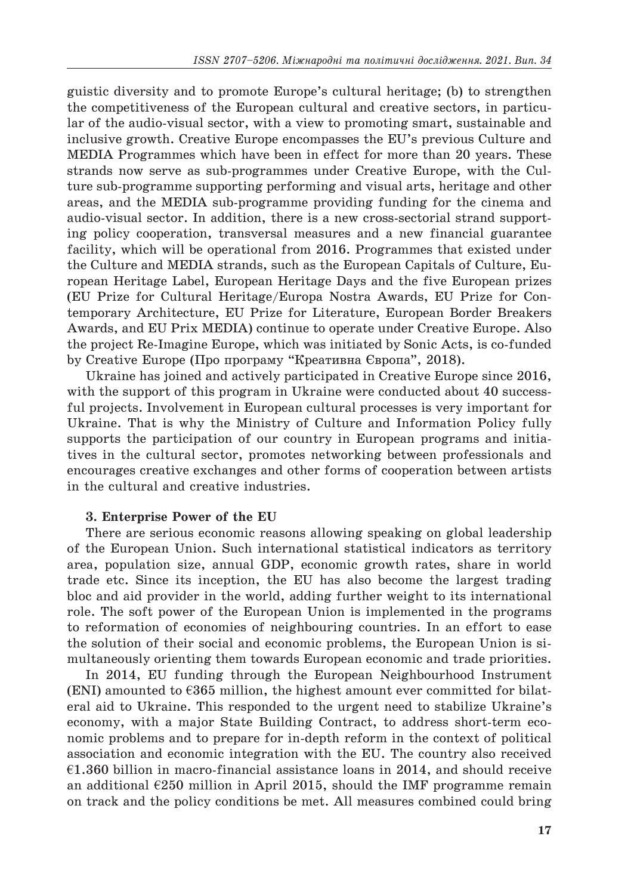guistic diversity and to promote Europe's cultural heritage; (b) to strengthen the competitiveness of the European cultural and creative sectors, in particular of the audio-visual sector, with a view to promoting smart, sustainable and inclusive growth. Creative Europe encompasses the EU's previous Culture and MEDIA Programmes which have been in effect for more than 20 years. These strands now serve as sub-programmes under Creative Europe, with the Culture sub-programme supporting performing and visual arts, heritage and other areas, and the MEDIA sub-programme providing funding for the cinema and audio-visual sector. In addition, there is a new cross-sectorial strand supporting policy cooperation, transversal measures and a new financial guarantee facility, which will be operational from 2016. Programmes that existed under the Culture and MEDIA strands, such as the European Capitals of Culture, European Heritage Label, European Heritage Days and the five European prizes (EU Prize for Cultural Heritage/Europa Nostra Awards, EU Prize for Contemporary Architecture, EU Prize for Literature, European Border Breakers Awards, and EU Prix MEDIA) continue to operate under Creative Europe. Also the project Re-Imagine Europe, which was initiated by Sonic Acts, is co-funded by Creative Europe (Про програму "Креативна Європа", 2018).

Ukraine has joined and actively participated in Creative Europe since 2016, with the support of this program in Ukraine were conducted about 40 successful projects. Involvement in European cultural processes is very important for Ukraine. That is why the Ministry of Culture and Information Policy fully supports the participation of our country in European programs and initiatives in the cultural sector, promotes networking between professionals and encourages creative exchanges and other forms of cooperation between artists in the cultural and creative industries.

### **3. Enterprise Power of the EU**

There are serious economic reasons allowing speaking on global leadership of the European Union. Such international statistical indicators as territory area, population size, annual GDP, economic growth rates, share in world trade etc. Since its inception, the EU has also become the largest trading bloc and aid provider in the world, adding further weight to its international role. The soft power of the European Union is implemented in the programs to reformation of economies of neighbouring countries. In an effort to ease the solution of their social and economic problems, the European Union is simultaneously orienting them towards European economic and trade priorities.

In 2014, EU funding through the European Neighbourhood Instrument (ENI) amounted to  $\epsilon$ 365 million, the highest amount ever committed for bilateral aid to Ukraine. This responded to the urgent need to stabilize Ukraine's economy, with a major State Building Contract, to address short-term economic problems and to prepare for in-depth reform in the context of political association and economic integration with the EU. The country also received  $\epsilon$ 1.360 billion in macro-financial assistance loans in 2014, and should receive an additional  $E250$  million in April 2015, should the IMF programme remain on track and the policy conditions be met. All measures combined could bring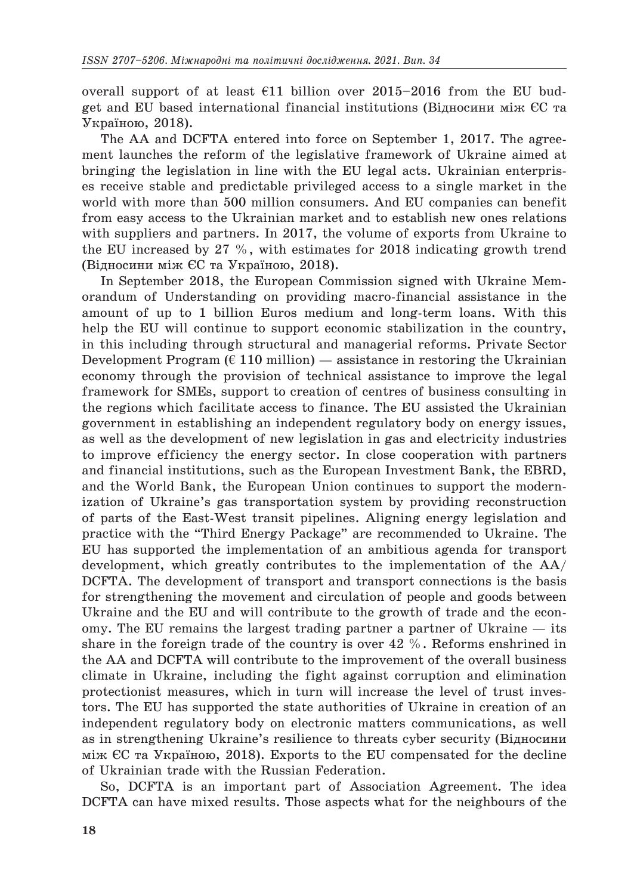overall support of at least  $\epsilon$ 11 billion over 2015–2016 from the EU budget and EU based international financial institutions (Відносини між ЄС та Україною, 2018).

The AA and DCFTA entered into force on September 1, 2017. The agreement launches the reform of the legislative framework of Ukraine aimed at bringing the legislation in line with the EU legal acts. Ukrainian enterprises receive stable and predictable privileged access to a single market in the world with more than 500 million consumers. And EU companies can benefit from easy access to the Ukrainian market and to establish new ones relations with suppliers and partners. In 2017, the volume of exports from Ukraine to the EU increased by 27 %, with estimates for 2018 indicating growth trend (Відносини між ЄС та Україною, 2018).

In September 2018, the European Commission signed with Ukraine Memorandum of Understanding on providing macro-financial assistance in the amount of up to 1 billion Euros medium and long-term loans. With this help the EU will continue to support economic stabilization in the country, in this including through structural and managerial reforms. Private Sector Development Program ( $\epsilon$  110 million) — assistance in restoring the Ukrainian economy through the provision of technical assistance to improve the legal framework for SMEs, support to creation of centres of business consulting in the regions which facilitate access to finance. The EU assisted the Ukrainian government in establishing an independent regulatory body on energy issues, as well as the development of new legislation in gas and electricity industries to improve efficiency the energy sector. In close cooperation with partners and financial institutions, such as the European Investment Bank, the EBRD, and the World Bank, the European Union continues to support the modernization of Ukraine's gas transportation system by providing reconstruction of parts of the East-West transit pipelines. Aligning energy legislation and practice with the "Third Energy Package" are recommended to Ukraine. The EU has supported the implementation of an ambitious agenda for transport development, which greatly contributes to the implementation of the AA/ DCFTA. The development of transport and transport connections is the basis for strengthening the movement and circulation of people and goods between Ukraine and the EU and will contribute to the growth of trade and the economy. The EU remains the largest trading partner a partner of Ukraine  $-$  its share in the foreign trade of the country is over 42 %. Reforms enshrined in the AA and DCFTA will contribute to the improvement of the overall business climate in Ukraine, including the fight against corruption and elimination protectionist measures, which in turn will increase the level of trust investors. The EU has supported the state authorities of Ukraine in creation of an independent regulatory body on electronic matters communications, as well as in strengthening Ukraine's resilience to threats cyber security (Відносини між ЄС та Україною, 2018). Exports to the EU compensated for the decline of Ukrainian trade with the Russian Federation.

So, DCFTA is an important part of Association Agreement. The idea DCFTA can have mixed results. Those aspects what for the neighbours of the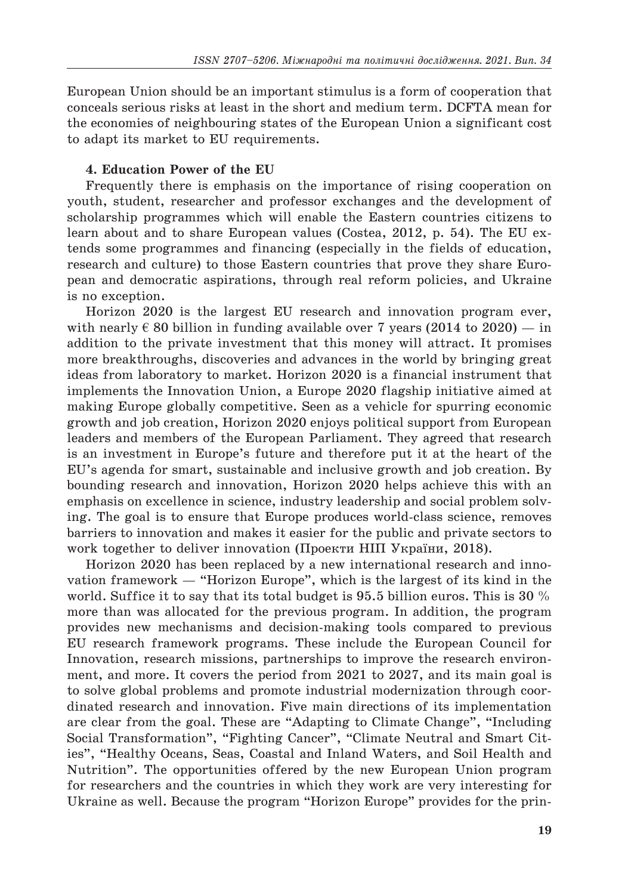European Union should be an important stimulus is a form of cooperation that conceals serious risks at least in the short and medium term. DCFTA mean for the economies of neighbouring states of the European Union a significant cost to adapt its market to EU requirements.

## **4. Education Power of the EU**

Frequently there is emphasis on the importance of rising cooperation on youth, student, researcher and professor exchanges and the development of scholarship programmes which will enable the Eastern countries citizens to learn about and to share European values (Costea, 2012, p. 54). The EU extends some programmes and financing (especially in the fields of education, research and culture) to those Eastern countries that prove they share European and democratic aspirations, through real reform policies, and Ukraine is no exception.

Horizon 2020 is the largest EU research and innovation program ever, with nearly  $\epsilon$  80 billion in funding available over 7 years (2014 to 2020) — in addition to the private investment that this money will attract. It promises more breakthroughs, discoveries and advances in the world by bringing great ideas from laboratory to market. Horizon 2020 is a financial instrument that implements the Innovation Union, a Europe 2020 flagship initiative aimed at making Europe globally competitive. Seen as a vehicle for spurring economic growth and job creation, Horizon 2020 enjoys political support from European leaders and members of the European Parliament. They agreed that research is an investment in Europe's future and therefore put it at the heart of the EU's agenda for smart, sustainable and inclusive growth and job creation. By bounding research and innovation, Horizon 2020 helps achieve this with an emphasis on excellence in science, industry leadership and social problem solving. The goal is to ensure that Europe produces world-class science, removes barriers to innovation and makes it easier for the public and private sectors to work together to deliver innovation (Проекти НІП України, 2018).

Horizon 2020 has been replaced by a new international research and innovation framework — "Horizon Europe", which is the largest of its kind in the world. Suffice it to say that its total budget is 95.5 billion euros. This is 30  $\%$ more than was allocated for the previous program. In addition, the program provides new mechanisms and decision-making tools compared to previous EU research framework programs. These include the European Council for Innovation, research missions, partnerships to improve the research environment, and more. It covers the period from 2021 to 2027, and its main goal is to solve global problems and promote industrial modernization through coordinated research and innovation. Five main directions of its implementation are clear from the goal. These are "Adapting to Climate Change", "Including Social Transformation", "Fighting Cancer", "Climate Neutral and Smart Cities", "Healthy Oceans, Seas, Coastal and Inland Waters, and Soil Health and Nutrition". The opportunities offered by the new European Union program for researchers and the countries in which they work are very interesting for Ukraine as well. Because the program "Horizon Europe" provides for the prin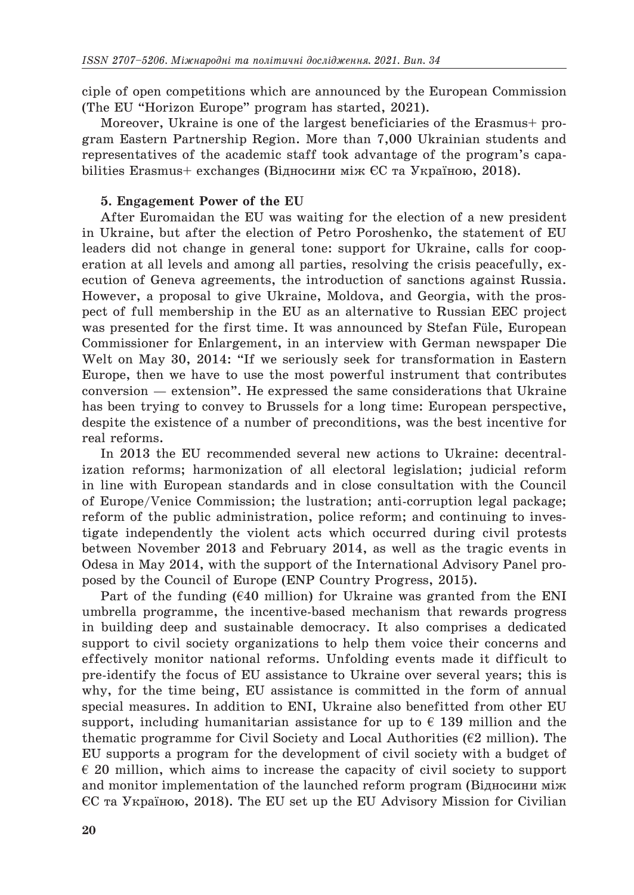ciple of open competitions which are announced by the European Commission (The EU "Horizon Europe" program has started, 2021).

Moreover, Ukraine is one of the largest beneficiaries of the Erasmus+ program Eastern Partnership Region. More than 7,000 Ukrainian students and representatives of the academic staff took advantage of the program's capabilities Erasmus+ exchanges (Відносини між ЄС та Україною, 2018).

#### **5. Engagement Power of the EU**

After Euromaidan the EU was waiting for the election of a new president in Ukraine, but after the election of Petro Poroshenko, the statement of EU leaders did not change in general tone: support for Ukraine, calls for cooperation at all levels and among all parties, resolving the crisis peacefully, execution of Geneva agreements, the introduction of sanctions against Russia. However, a proposal to give Ukraine, Moldova, and Georgia, with the prospect of full membership in the EU as an alternative to Russian EEC project was presented for the first time. It was announced by Stefan Füle, European Commissioner for Enlargement, in an interview with German newspaper Die Welt on May 30, 2014: "If we seriously seek for transformation in Eastern Europe, then we have to use the most powerful instrument that contributes conversion — extension". He expressed the same considerations that Ukraine has been trying to convey to Brussels for a long time: European perspective, despite the existence of a number of preconditions, was the best incentive for real reforms.

In 2013 the EU recommended several new actions to Ukraine: decentralization reforms; harmonization of all electoral legislation; judicial reform in line with European standards and in close consultation with the Council of Europe/Venice Commission; the lustration; anti-corruption legal package; reform of the public administration, police reform; and continuing to investigate independently the violent acts which occurred during civil protests between November 2013 and February 2014, as well as the tragic events in Odesa in May 2014, with the support of the International Advisory Panel proposed by the Council of Europe (ENP Country Progress, 2015).

Part of the funding  $(640 \text{ million})$  for Ukraine was granted from the ENI umbrella programme, the incentive-based mechanism that rewards progress in building deep and sustainable democracy. It also comprises a dedicated support to civil society organizations to help them voice their concerns and effectively monitor national reforms. Unfolding events made it difficult to pre-identify the focus of EU assistance to Ukraine over several years; this is why, for the time being, EU assistance is committed in the form of annual special measures. In addition to ENI, Ukraine also benefitted from other EU support, including humanitarian assistance for up to  $\epsilon$  139 million and the thematic programme for Civil Society and Local Authorities ( $E2$  million). The EU supports a program for the development of civil society with a budget of  $\epsilon$  20 million, which aims to increase the capacity of civil society to support and monitor implementation of the launched reform program (Відносини між ЄС та Україною, 2018). The EU set up the EU Advisory Mission for Civilian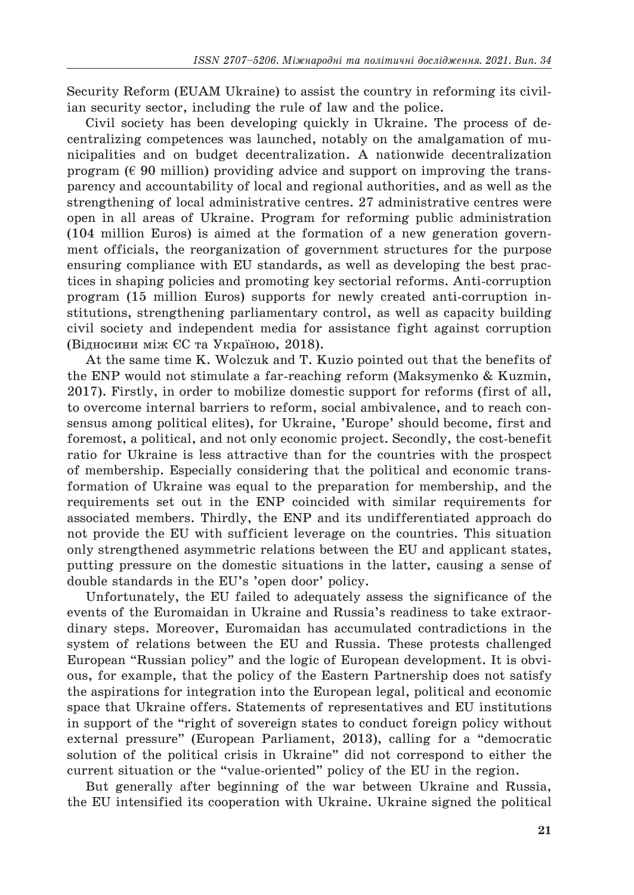Security Reform (EUAM Ukraine) to assist the country in reforming its civilian security sector, including the rule of law and the police.

Civil society has been developing quickly in Ukraine. The process of decentralizing competences was launched, notably on the amalgamation of municipalities and on budget decentralization. A nationwide decentralization program ( $\epsilon$  90 million) providing advice and support on improving the transparency and accountability of local and regional authorities, and as well as the strengthening of local administrative centres. 27 administrative centres were open in all areas of Ukraine. Program for reforming public administration (104 million Euros) is aimed at the formation of a new generation government officials, the reorganization of government structures for the purpose ensuring compliance with EU standards, as well as developing the best practices in shaping policies and promoting key sectorial reforms. Anti-corruption program (15 million Euros) supports for newly created anti-corruption institutions, strengthening parliamentary control, as well as capacity building civil society and independent media for assistance fight against corruption (Відносини між ЄС та Україною, 2018).

At the same time K. Wolczuk and T. Kuzio pointed out that the benefits of the ENP would not stimulate a far-reaching reform (Maksymenko & Kuzmin, 2017). Firstly, in order to mobilize domestic support for reforms (first of all, to overcome internal barriers to reform, social ambivalence, and to reach consensus among political elites), for Ukraine, 'Europe' should become, first and foremost, a political, and not only economic project. Secondly, the cost-benefit ratio for Ukraine is less attractive than for the countries with the prospect of membership. Especially considering that the political and economic transformation of Ukraine was equal to the preparation for membership, and the requirements set out in the ENP coincided with similar requirements for associated members. Thirdly, the ENP and its undifferentiated approach do not provide the EU with sufficient leverage on the countries. This situation only strengthened asymmetric relations between the EU and applicant states, putting pressure on the domestic situations in the latter, causing a sense of double standards in the EU's 'open door' policy.

Unfortunately, the EU failed to adequately assess the significance of the events of the Euromaidan in Ukraine and Russia's readiness to take extraordinary steps. Moreover, Euromaidan has accumulated contradictions in the system of relations between the EU and Russia. These protests challenged European "Russian policy" and the logic of European development. It is obvious, for example, that the policy of the Eastern Partnership does not satisfy the aspirations for integration into the European legal, political and economic space that Ukraine offers. Statements of representatives and EU institutions in support of the "right of sovereign states to conduct foreign policy without external pressure" (European Parliament, 2013), calling for a "democratic solution of the political crisis in Ukraine" did not correspond to either the current situation or the "value-oriented" policy of the EU in the region.

But generally after beginning of the war between Ukraine and Russia, the EU intensified its cooperation with Ukraine. Ukraine signed the political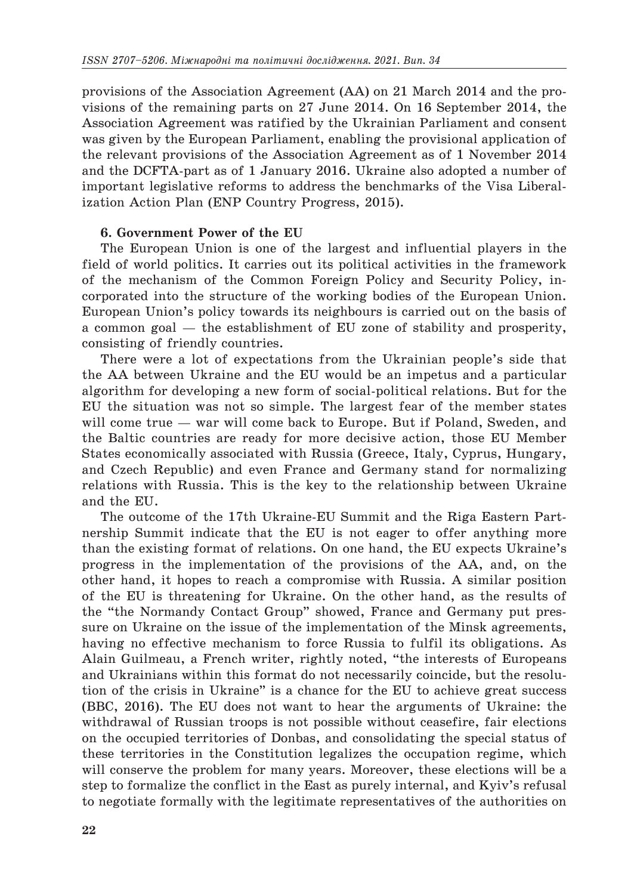provisions of the Association Agreement (AA) on 21 March 2014 and the provisions of the remaining parts on 27 June 2014. On 16 September 2014, the Association Agreement was ratified by the Ukrainian Parliament and consent was given by the European Parliament, enabling the provisional application of the relevant provisions of the Association Agreement as of 1 November 2014 and the DCFTA-part as of 1 January 2016. Ukraine also adopted a number of important legislative reforms to address the benchmarks of the Visa Liberalization Action Plan (ENP Country Progress, 2015).

## **6. Government Power of the EU**

The European Union is one of the largest and influential players in the field of world politics. It carries out its political activities in the framework of the mechanism of the Common Foreign Policy and Security Policy, incorporated into the structure of the working bodies of the European Union. European Union's policy towards its neighbours is carried out on the basis of a common goal — the establishment of EU zone of stability and prosperity, consisting of friendly countries.

There were a lot of expectations from the Ukrainian people's side that the AA between Ukraine and the EU would be an impetus and a particular algorithm for developing a new form of social-political relations. But for the EU the situation was not so simple. The largest fear of the member states will come true — war will come back to Europe. But if Poland, Sweden, and the Baltic countries are ready for more decisive action, those EU Member States economically associated with Russia (Greece, Italy, Cyprus, Hungary, and Czech Republic) and even France and Germany stand for normalizing relations with Russia. This is the key to the relationship between Ukraine and the EU.

The outcome of the 17th Ukraine-EU Summit and the Riga Eastern Partnership Summit indicate that the EU is not eager to offer anything more than the existing format of relations. On one hand, the EU expects Ukraine's progress in the implementation of the provisions of the AA, and, on the other hand, it hopes to reach a compromise with Russia. A similar position of the EU is threatening for Ukraine. On the other hand, as the results of the "the Normandy Contact Group" showed, France and Germany put pressure on Ukraine on the issue of the implementation of the Minsk agreements, having no effective mechanism to force Russia to fulfil its obligations. As Alain Guilmeau, a French writer, rightly noted, "the interests of Europeans and Ukrainians within this format do not necessarily coincide, but the resolution of the crisis in Ukraine" is a chance for the EU to achieve great success (BBC, 2016). The EU does not want to hear the arguments of Ukraine: the withdrawal of Russian troops is not possible without ceasefire, fair elections on the occupied territories of Donbas, and consolidating the special status of these territories in the Constitution legalizes the occupation regime, which will conserve the problem for many years. Moreover, these elections will be a step to formalize the conflict in the East as purely internal, and Kyiv's refusal to negotiate formally with the legitimate representatives of the authorities on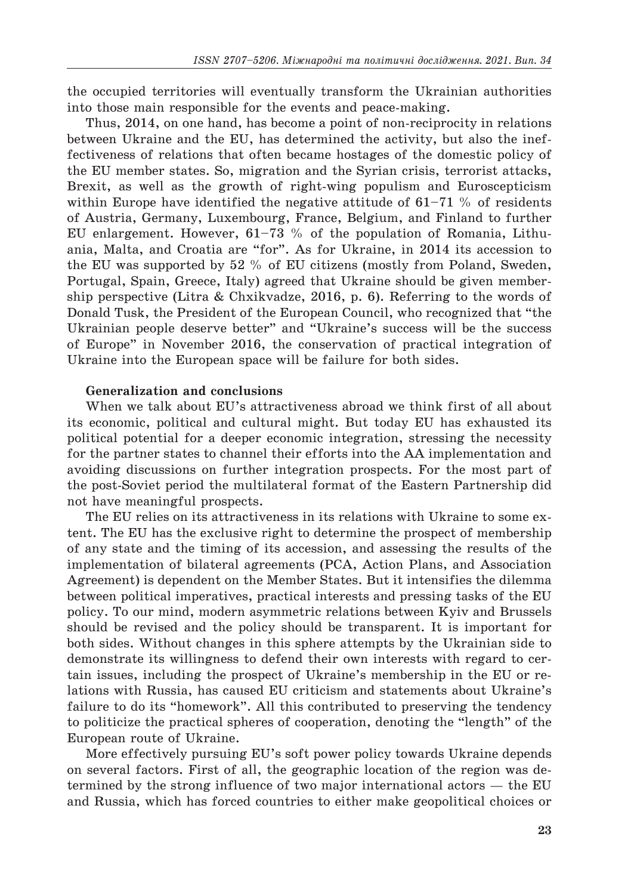the occupied territories will eventually transform the Ukrainian authorities into those main responsible for the events and peace-making.

Thus, 2014, on one hand, has become a point of non-reciprocity in relations between Ukraine and the EU, has determined the activity, but also the ineffectiveness of relations that often became hostages of the domestic policy of the EU member states. So, migration and the Syrian crisis, terrorist attacks, Brexit, as well as the growth of right-wing populism and Euroscepticism within Europe have identified the negative attitude of  $61-71$  % of residents of Austria, Germany, Luxembourg, France, Belgium, and Finland to further EU enlargement. However,  $61-73$  % of the population of Romania, Lithuania, Malta, and Croatia are "for". As for Ukraine, in 2014 its accession to the EU was supported by 52 % of EU citizens (mostly from Poland, Sweden, Portugal, Spain, Greece, Italy) agreed that Ukraine should be given membership perspective (Litra & Chxikvadze, 2016, p. 6). Referring to the words of Donald Tusk, the President of the European Council, who recognized that "the Ukrainian people deserve better" and "Ukraine's success will be the success of Europe" in November 2016, the conservation of practical integration of Ukraine into the European space will be failure for both sides.

## **Generalization and conclusions**

When we talk about EU's attractiveness abroad we think first of all about its economic, political and cultural might. But today EU has exhausted its political potential for a deeper economic integration, stressing the necessity for the partner states to channel their efforts into the AA implementation and avoiding discussions on further integration prospects. For the most part of the post-Soviet period the multilateral format of the Eastern Partnership did not have meaningful prospects.

The EU relies on its attractiveness in its relations with Ukraine to some extent. The EU has the exclusive right to determine the prospect of membership of any state and the timing of its accession, and assessing the results of the implementation of bilateral agreements (PCA, Action Plans, and Association Agreement) is dependent on the Member States. But it intensifies the dilemma between political imperatives, practical interests and pressing tasks of the EU policy. To our mind, modern asymmetric relations between Kyiv and Brussels should be revised and the policy should be transparent. It is important for both sides. Without changes in this sphere attempts by the Ukrainian side to demonstrate its willingness to defend their own interests with regard to certain issues, including the prospect of Ukraine's membership in the EU or relations with Russia, has caused EU criticism and statements about Ukraine's failure to do its "homework". All this contributed to preserving the tendency to politicize the practical spheres of cooperation, denoting the "length" of the European route of Ukraine.

More effectively pursuing EU's soft power policy towards Ukraine depends on several factors. First of all, the geographic location of the region was determined by the strong influence of two major international actors — the EU and Russia, which has forced countries to either make geopolitical choices or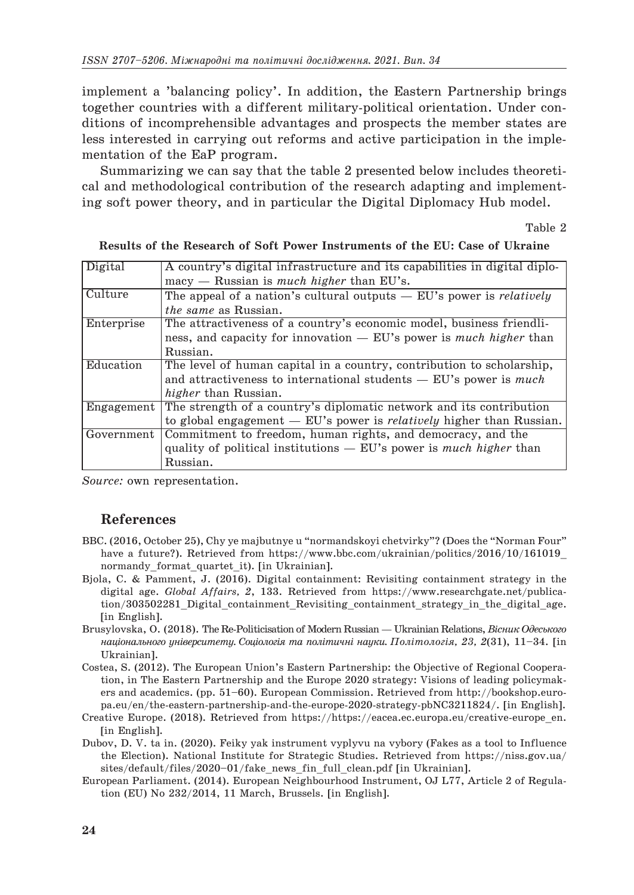implement a 'balancing policy'. In addition, the Eastern Partnership brings together countries with a different military-political orientation. Under conditions of incomprehensible advantages and prospects the member states are less interested in carrying out reforms and active participation in the implementation of the EaP program.

Summarizing we can say that the table 2 presented below includes theoretical and methodological contribution of the research adapting and implementing soft power theory, and in particular the Digital Diplomacy Hub model.

Table 2

| Digital    | A country's digital infrastructure and its capabilities in digital diplo-     |
|------------|-------------------------------------------------------------------------------|
|            | $\text{macv}$ — Russian is <i>much higher</i> than EU's.                      |
| Culture    | The appeal of a nation's cultural outputs $-$ EU's power is <i>relatively</i> |
|            | <i>the same as Russian.</i>                                                   |
| Enterprise | The attractiveness of a country's economic model, business friendli-          |
|            | ness, and capacity for innovation — EU's power is much higher than            |
|            | Russian.                                                                      |
| Education  | The level of human capital in a country, contribution to scholarship,         |
|            | and attractiveness to international students $-$ EU's power is <i>much</i>    |
|            | <i>higher</i> than Russian.                                                   |
| Engagement | The strength of a country's diplomatic network and its contribution           |
|            | to global engagement $-$ EU's power is <i>relatively</i> higher than Russian. |
| Government | Commitment to freedom, human rights, and democracy, and the                   |
|            | quality of political institutions $-$ EU's power is <i>much higher</i> than   |
|            | Russian.                                                                      |

**Results of the Research of Soft Power Instruments of the EU: Case of Ukraine**

*Source:* own representation.

#### **References**

- ВВС. (2016, Оctober 25), Chy ye majbutnye u "normandskoyi chetvirky"? (Does the "Norman Four" have a future?). Retrieved from https://www.bbc.com/ukrainian/politics/2016/10/161019 normandy format quartet it). [in Ukrainian].
- Bjola, C. & Pamment, J. (2016). Digital containment: Revisiting containment strategy in the digital age. *Global Affairs, 2*, 133. Retrieved from https://www.researchgate.net/publication/303502281 Digital containment Revisiting containment strategy in the digital age. [in English].
- Brusylovska, O. (2018). The Re-Politicisation of Modern Russian— Ukrainian Relations, *Вісник Oдеського національного університету. Соціологія та політичні науки. Політологія, 23, 2*(31), 11–34. [in Ukrainian].
- Costea, S. (2012). The European Union's Eastern Partnership: the Objective of Regional Cooperation, in The Eastern Partnership and the Europe 2020 strategy: Visions of leading policymakers and academics. (pp. 51–60). European Commission. Retrieved from http://bookshop.europa.eu/en/the-eastern-partnership-and-the-europe-2020-strategy-pbNC3211824/. [in English].
- Creative Europe. (2018). Retrieved from https://https://eacea.ec.europa.eu/creative-europe\_en. [in English].
- Dubov, D. V. ta in. (2020). Feiky yak instrument vyplyvu na vybory (Fakes as a tool to Influence the Election). National Institute for Strategic Studies. Retrieved from https://niss.gov.ua/ sites/default/files/2020–01/fake news fin full clean.pdf [in Ukrainian].
- European Parliament. (2014). European Neighbourhood Instrument, OJ L77, Article 2 of Regulation (EU) No 232/2014, 11 March, Brussels. [in English].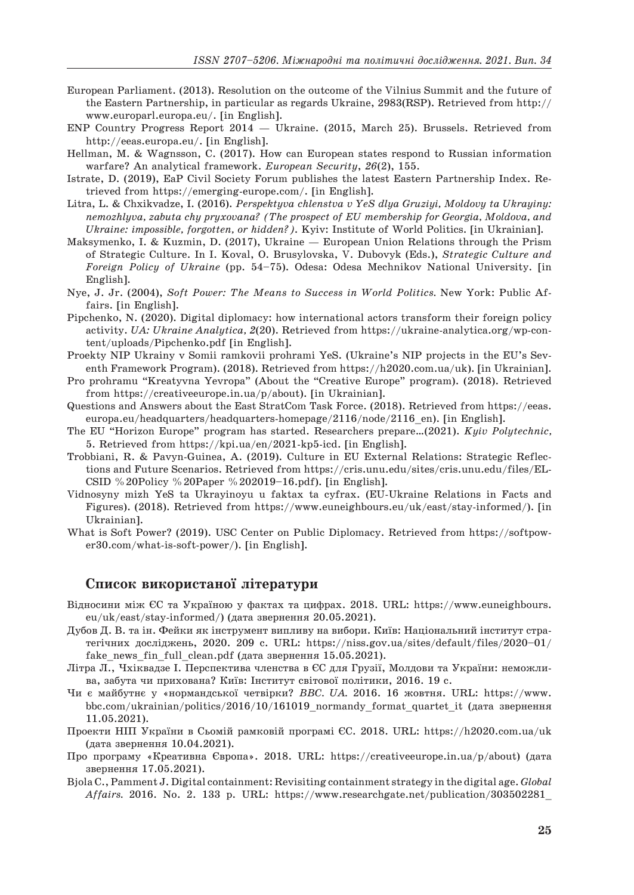- European Parliament. (2013). Resolution on the outcome of the Vilnius Summit and the future of the Eastern Partnership, in particular as regards Ukraine, 2983(RSP). Retrieved from http:// www.europarl.europa.eu/. [in English].
- ENP Country Progress Report 2014 Ukraine. (2015, March 25). Brussels. Retrieved from http://eeas.europa.eu/. [in English].
- Hellman, M. & Wagnsson, C. (2017). How can European states respond to Russian information warfare? An analytical framework. *European Security*, *26*(2), 155.
- Istrate, D. (2019), EaP Civil Society Forum publishes the latest Eastern Partnership Index. Retrieved from https://emerging-europe.com/. [in English].
- Litra, L. & Chxikvadze, I. (2016). *Perspektyva chlenstva v YeS dlya Gruziyi, Moldovy ta Ukrayiny: nemozhlyva, zabuta chy pryxovana? (The prospect of EU membership for Georgia, Moldova, and Ukraine: impossible, forgotten, or hidden?)*. Kyiv: Institute of World Politics. [in Ukrainian].
- Maksymenko, I. & Kuzmin, D. (2017), Ukraine European Union Relations through the Prism of Strategic Culture. In I. Koval, O. Brusylovska, V. Dubovyk (Eds.), *Strategic Culture and Foreign Policy of Ukraine* (pp. 54–75). Odesa: Odesa Mechnikov National University. [in English].
- Nye, J. Jr. (2004), *Soft Power: The Means to Success in World Politics.* New York: Public Affairs. [in English].
- Pipchenko, N. (2020). Digital diplomacy: how international actors transform their foreign policy activity. *UA: Ukraine Analytica, 2*(20). Retrieved from https://ukraine-analytica.org/wp-content/uploads/Pipchenko.pdf [in English].
- Proekty NIP Ukrainy v Somii ramkovii prohrami YeS. (Ukraine's NIP projects in the EU's Seventh Framework Program). (2018). Retrieved from https://h2020.com.ua/uk). [in Ukrainian].
- Pro prohramu "Kreatyvna Yevropa" (About the "Creative Europe" program). (2018). Retrieved from https://creativeeurope.in.ua/p/about). [in Ukrainian].
- Questions and Answers about the East StratCom Task Force. (2018). Retrieved from https://eeas. europa.eu/headquarters/headquarters-homepage/2116/node/2116 en). [in English].
- The EU "Horizon Europe" program has started. Researchers prepare…(2021). *Kyiv Polytechnic,* 5. Retrieved from https://kpi.ua/en/2021-kp5-icd. [in English].
- Trobbiani, R. & Pavyn-Guinea, A. (2019). Culture in EU External Relations: Strategic Reflections and Future Scenarios. Retrieved from https://cris.unu.edu/sites/cris.unu.edu/files/EL-CSID %20Policy %20Paper %202019–16.pdf). [in English].
- Vidnosyny mizh YeS ta Ukrayinoyu u faktax ta cyfrax. (EU-Ukraine Relations in Facts and Figures). (2018). Retrieved from https://www.euneighbours.eu/uk/east/stay-informed/). [in Ukrainian].
- What is Soft Power? (2019). USC Center on Public Diplomacy. Retrieved from https://softpower30.com/what-is-soft-power/). [in English].

## **Cписок використаної літератури**

- Відносини між ЄС та Україною у фактах та цифрах. 2018. URL: https://www.euneighbours. eu/uk/east/stay-informed/) (дата звернення 20.05.2021).
- Дубов Д. В. та ін. Фейки як інструмент випливу на вибори. Київ: Національний інститут стратегічних досліджень, 2020. 209 c. URL: https://niss.gov.ua/sites/default/files/2020–01/ fake news fin full clean.pdf (дата звернення 15.05.2021).
- Літра Л., Чхіквадзе І. Перспектива членства в ЄС для Грузії, Молдови та України: неможлива, забута чи прихована? Київ: Інститут світової політики, 2016. 19 с.
- Чи є майбутнє у «нормандської четвірки? *BBC. UA.* 2016. 16 жовтня. URL: https://www. bbc.com/ukrainian/politics/2016/10/161019\_normandy\_format\_quartet\_it (дата звернення 11.05.2021).
- Проекти НІП України в Сьомій рамковій програмі ЄС. 2018. URL: https://h2020.com.ua/uk (дата звернення 10.04.2021).
- Про програму «Креативна Європа». 2018. URL: https://creativeeurope.in.ua/p/about) (дата звернення 17.05.2021).
- Bjola C., Pamment J. Digital containment: Revisiting containment strategy in the digital age. *Global Affairs.* 2016. No. 2. 133 p. URL: https://www.researchgate.net/publication/303502281\_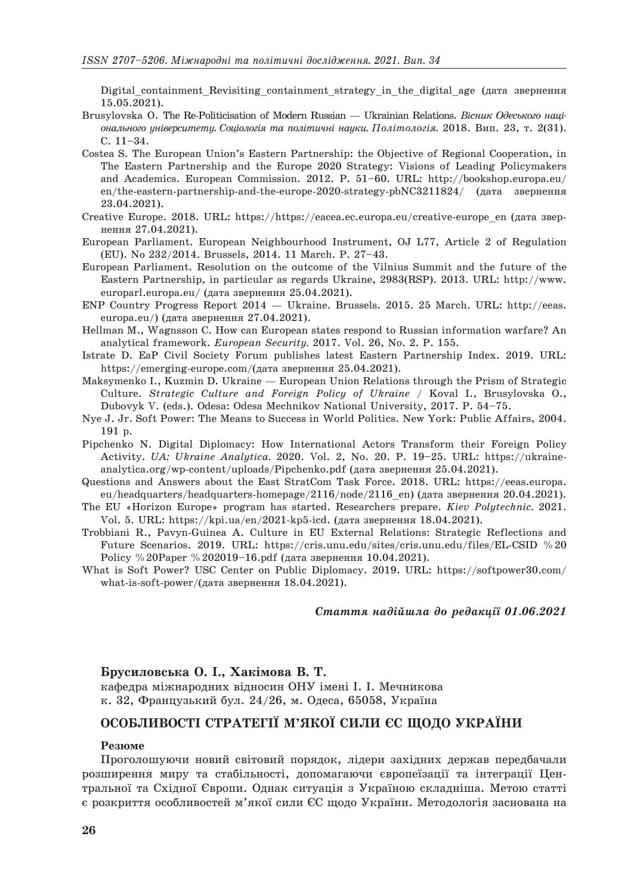Digital containment Revisiting containment strategy in the digital age (дата звернення 15.05.2021).

- Brusylovska O. The Re-Politicisation of Modern Russian Ukrainian Relations. *Вісник Oдеського національного університету. Соціологія та політичні науки. Політологія.* 2018. Вип. 23, т. 2(31). С. 11–34.
- Costea S. The European Union's Eastern Partnership: the Objective of Regional Cooperation, in The Eastern Partnership and the Europe 2020 Strategy: Visions of Leading Policymakers and Academics. European Commission. 2012. P. 51–60. URL: http://bookshop.europa.eu/ en/the-eastern-partnership-and-the-europe-2020-strategy-pbNC3211824/ (дата звернення 23.04.2021).
- Creative Europe. 2018. URL: https://https://eacea.ec.europa.eu/creative-europe\_en (дата звернення 27.04.2021).
- European Parliament. European Neighbourhood Instrument, OJ L77, Article 2 of Regulation (EU). No 232/2014. Brussels, 2014. 11 March. P. 27–43.
- European Parliament. Resolution on the outcome of the Vilnius Summit and the future of the Eastern Partnership, in particular as regards Ukraine, 2983(RSP). 2013. URL: http://www. europarl.europa.eu/ (дата звернення 25.04.2021).
- ENP Country Progress Report 2014 Ukraine. Brussels. 2015. 25 March. URL: http://eeas. europa.eu/) (дата звернення 27.04.2021).
- Hellman M., Wagnsson C. How can European states respond to Russian information warfare? An analytical framework. *European Security.* 2017. Vol. 26, No. 2. P. 155.
- Istrate D. EaP Civil Society Forum publishes latest Eastern Partnership Index. 2019. URL: https://emerging-europe.com/(дата звернення 25.04.2021).
- Maksymenko I., Kuzmin D. Ukraine European Union Relations through the Prism of Strategic Culture. *Strategic Culture and Foreign Policy of Ukraine /* Koval I., Brusylovska O., Dubovyk V. (eds.). Odesa: Odesa Mechnikov National University, 2017. P. 54–75.
- Nye J. Jr. Soft Power: The Means to Success in World Politics. New York: Public Affairs, 2004. 191 p.
- Pipchenko N. Digital Diplomacy: How International Actors Transform their Foreign Policy Activity. *UA: Ukraine Analytica.* 2020. Vol. 2, No. 20. P. 19–25. URL: https://ukraineanalytica.org/wp-content/uploads/Pipchenko.pdf (дата звернення 25.04.2021).
- Questions and Answers about the East StratCom Task Force. 2018. URL: https://eeas.europa. eu/headquarters/headquarters-homepage/2116/node/2116\_en) (дата звернення 20.04.2021).
- The EU «Horizon Europe» program has started. Researchers prepare. *Kiev Polytechnic.* 2021. Vol. 5. URL: https://kpi.ua/en/2021-kp5-icd. (дата звернення 18.04.2021).
- Trobbiani R., Pavyn-Guinea A. Culture in EU External Relations: Strategic Reflections and Future Scenarios. 2019. URL: https://cris.unu.edu/sites/cris.unu.edu/files/EL-CSID %20 Policy %20Paper %202019–16.pdf (дата звернення 10.04.2021).
- What is Soft Power? USC Center on Public Diplomacy. 2019. URL: https://softpower30.com/ what-is-soft-power/(дата звернення 18.04.2021).

*Стаття надійшла до редакції 01.06.2021* 

#### **Брусиловська О. I., Хакімова B. T.**

кафедра міжнародних відносин ОНУ імені І. І. Мечникова к. 32, Французький бул. 24/26, м. Одеса, 65058, Україна

## **ОСОБЛИВОСТІ СТРАТЕГІЇ М'ЯКОЇ СИЛИ ЄС ЩОДО УКРАЇНИ**

#### **Резюме**

Проголошуючи новий світовий порядок, лідери західних держав передбачали розширення миру та стабільності, допомагаючи європеїзації та інтеграції Центральної та Східної Європи. Однак ситуація з Україною складніша. Метою статті є розкриття особливостей м'якої сили ЄС щодо України. Методологія заснована на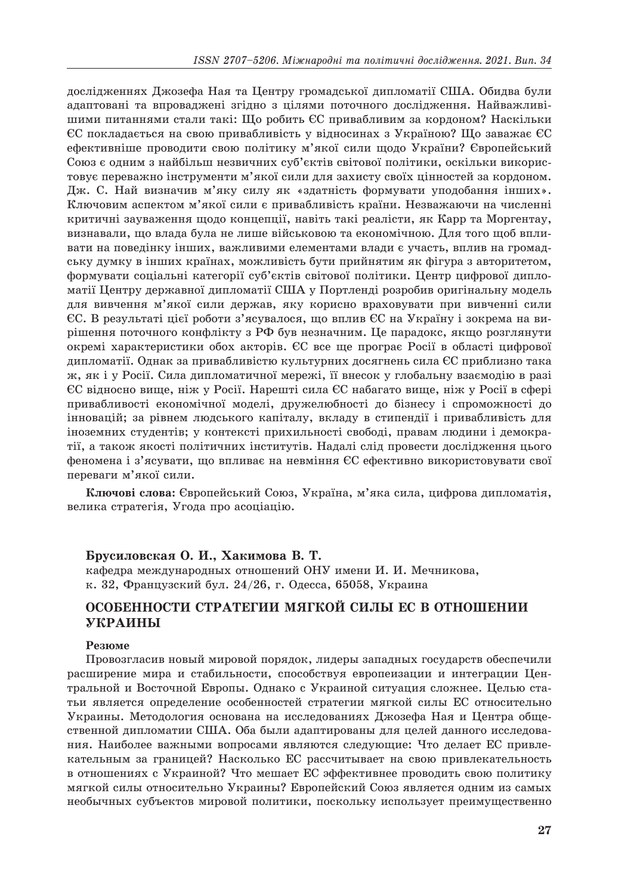дослідженнях Джозефа Ная та Центру громадської дипломатії США. Обидва були адаптовані та впроваджені згідно з цілями поточного дослідження. Найважливішими питаннями стали такі: Що робить ЄС привабливим за кордоном? Наскільки ЄС покладається на свою привабливість у відносинах з Україною? Що заважає ЄС ефективніше проводити свою політику м'якої сили щодо України? Європейський Союз є одним з найбільш незвичних суб'єктів світової політики, оскільки використовує переважно інструменти м'якої сили для захисту своїх цінностей за кордоном. Дж. С. Най визначив м'яку силу як «здатність формувати уподобання інших». Ключовим аспектом м'якої сили є привабливість країни. Незважаючи на численні критичні зауваження щодо концепції, навіть такі реалісти, як Карр та Моргентау, визнавали, що влада була не лише військовою та економічною. Для того щоб впливати на поведінку інших, важливими елементами влади є участь, вплив на громадську думку в інших країнах, можливість бути прийнятим як фігура з авторитетом, формувати соціальні категорії суб'єктів світової політики. Центр цифрової дипломатії Центру державної дипломатії США у Портленді розробив оригінальну модель для вивчення м'якої сили держав, яку корисно враховувати при вивченні сили ЄС. В результаті цієї роботи з'ясувалося, що вплив ЄС на Україну і зокрема на вирішення поточного конфлікту з РФ був незначним. Це парадокс, якщо розглянути окремі характеристики обох акторів. ЄС все ще програє Росії в області цифрової дипломатії. Однак за привабливістю культурних досягнень сила ЄС приблизно така ж, як і у Росії. Сила дипломатичної мережі, її внесок у глобальну взаємодію в разі ЄС відносно вище, ніж у Росії. Нарешті сила ЄС набагато вище, ніж у Росії в сфері привабливості економічної моделі, дружелюбності до бізнесу і спроможності до інновацій; за рівнем людського капіталу, вкладу в стипендії і привабливість для іноземних студентів; у контексті прихильності свободі, правам людини і демократії, а також якості політичних інститутів. Надалі слід провести дослідження цього феномена і з'ясувати, що впливає на невміння ЄС ефективно використовувати свої переваги м'якої сили.

**Ключові слова:** Європейський Союз, Україна, м'яка сила, цифрова дипломатія, велика стратегія, Угода про асоціацію.

#### **Брусиловская О. И., Хакимова В. Т.**

кафедра международных отношений ОНУ имени И. И. Мечникова, к. 32, Французский бул. 24/26, г. Одесса, 65058, Украина

# **ОСОБЕННОСТИ СТРАТЕГИИ МЯГКОЙ СИЛЫ ЕС В ОТНОШЕНИИ УКРАИНЫ**

#### **Резюме**

Провозгласив новый мировой порядок, лидеры западных государств обеспечили расширение мира и стабильности, способствуя европеизации и интеграции Центральной и Восточной Европы. Однако с Украиной ситуация сложнее. Целью статьи является определение особенностей стратегии мягкой силы ЕС относительно Украины. Методология основана на исследованиях Джозефа Ная и Центра общественной дипломатии США. Оба были адаптированы для целей данного исследования. Наиболее важными вопросами являются следующие: Что делает ЕС привлекательным за границей? Насколько ЕС рассчитывает на свою привлекательность в отношениях с Украиной? Что мешает ЕС эффективнее проводить свою политику мягкой силы относительно Украины? Европейский Союз является одним из самых необычных субъектов мировой политики, поскольку использует преимущественно